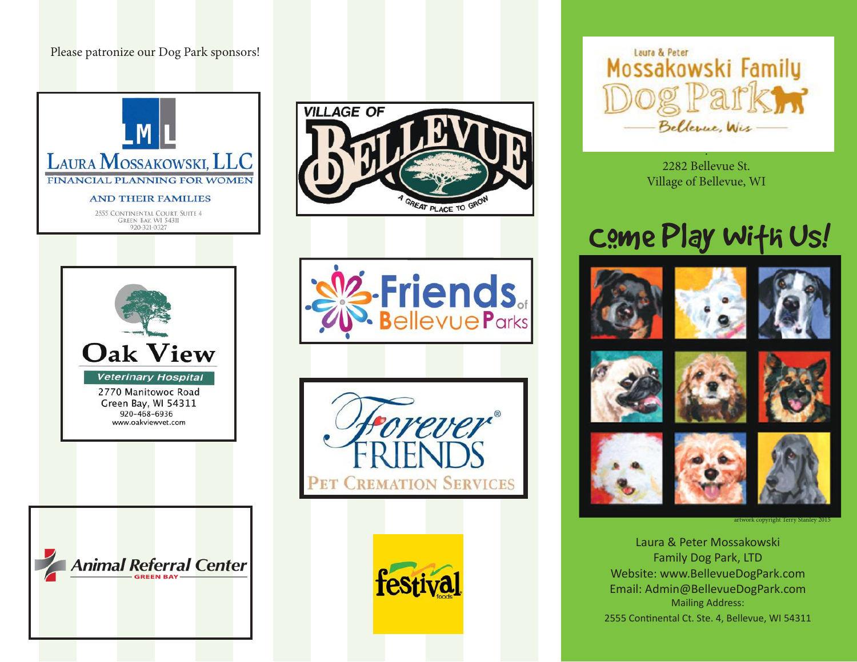#### Please patronize our Dog Park sponsors!

















2282 Bellevue St. Village of Bellevue, WI

.

# used all Come Play Wifh Us!

















artwork copyright Terry Stanley 2015

Laura & Peter Mossakowski Family Dog Park, LTD Website: www.BellevueDogPark.com Email: Admin@BellevueDogPark.com Mailing Address: 2555 Continental Ct. Ste. 4, Bellevue, WI 54311